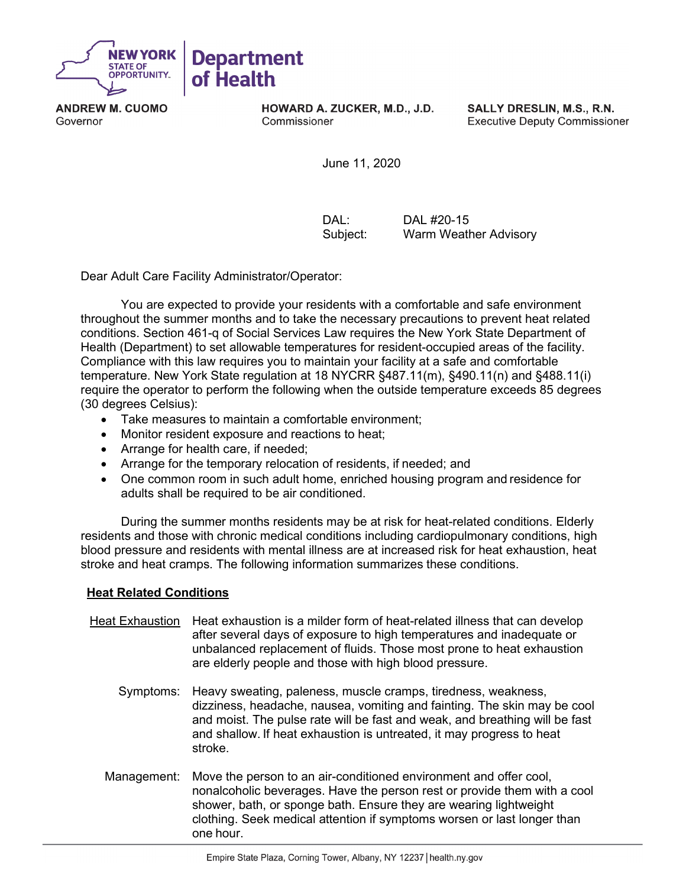

**ANDREW M. CUOMO** Governor

**HOWARD A. ZUCKER, M.D., J.D.** Commissioner

SALLY DRESLIN, M.S., R.N. **Executive Deputy Commissioner** 

June 11, 2020

DAL: DAL #20-15 Subject: Warm Weather Advisory

Dear Adult Care Facility Administrator/Operator:

You are expected to provide your residents with a comfortable and safe environment throughout the summer months and to take the necessary precautions to prevent heat related conditions. Section 461-q of Social Services Law requires the New York State Department of Health (Department) to set allowable temperatures for resident-occupied areas of the facility. Compliance with this law requires you to maintain your facility at a safe and comfortable temperature. New York State regulation at 18 NYCRR §487.11(m), §490.11(n) and §488.11(i) require the operator to perform the following when the outside temperature exceeds 85 degrees (30 degrees Celsius):

- Take measures to maintain a comfortable environment;
- Monitor resident exposure and reactions to heat;
- Arrange for health care, if needed;
- Arrange for the temporary relocation of residents, if needed; and
- One common room in such adult home, enriched housing program and residence for adults shall be required to be air conditioned.

During the summer months residents may be at risk for heat-related conditions. Elderly residents and those with chronic medical conditions including cardiopulmonary conditions, high blood pressure and residents with mental illness are at increased risk for heat exhaustion, heat stroke and heat cramps. The following information summarizes these conditions.

## **Heat Related Conditions**

- Heat Exhaustion Heat exhaustion is a milder form of heat-related illness that can develop after several days of exposure to high temperatures and inadequate or unbalanced replacement of fluids. Those most prone to heat exhaustion are elderly people and those with high blood pressure.
	- Symptoms: Heavy sweating, paleness, muscle cramps, tiredness, weakness, dizziness, headache, nausea, vomiting and fainting. The skin may be cool and moist. The pulse rate will be fast and weak, and breathing will be fast and shallow. If heat exhaustion is untreated, it may progress to heat stroke.
	- Management: Move the person to an air-conditioned environment and offer cool, nonalcoholic beverages. Have the person rest or provide them with a cool shower, bath, or sponge bath. Ensure they are wearing lightweight clothing. Seek medical attention if symptoms worsen or last longer than one hour.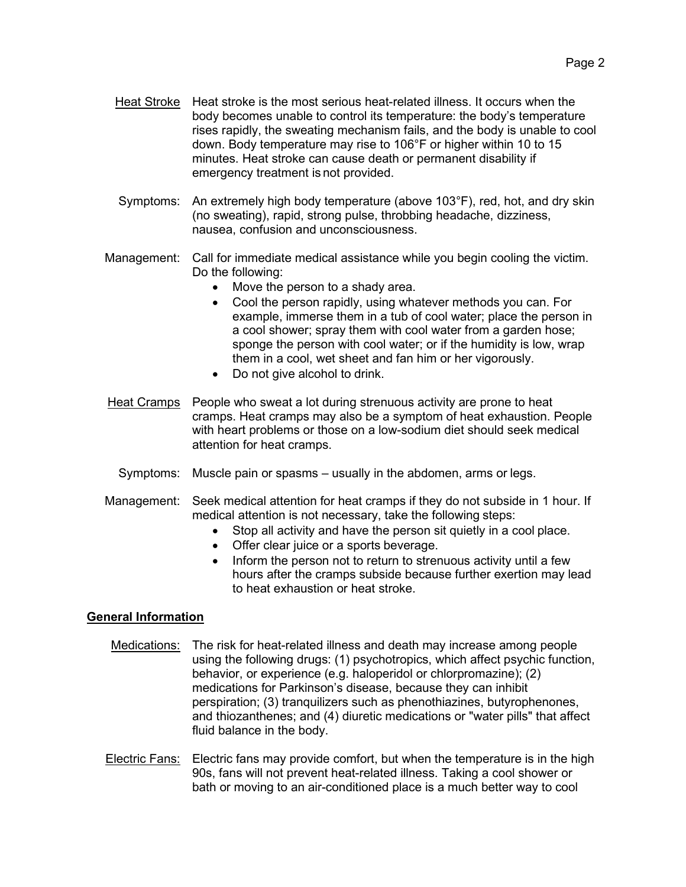- Heat Stroke Heat stroke is the most serious heat-related illness. It occurs when the body becomes unable to control its temperature: the body's temperature rises rapidly, the sweating mechanism fails, and the body is unable to cool down. Body temperature may rise to 106°F or higher within 10 to 15 minutes. Heat stroke can cause death or permanent disability if emergency treatment is not provided.
- Symptoms: An extremely high body temperature (above 103°F), red, hot, and dry skin (no sweating), rapid, strong pulse, throbbing headache, dizziness, nausea, confusion and unconsciousness.
- Management: Call for immediate medical assistance while you begin cooling the victim. Do the following:
	- Move the person to a shady area.
	- Cool the person rapidly, using whatever methods you can. For example, immerse them in a tub of cool water; place the person in a cool shower; spray them with cool water from a garden hose; sponge the person with cool water; or if the humidity is low, wrap them in a cool, wet sheet and fan him or her vigorously.
	- Do not give alcohol to drink.
- Heat Cramps People who sweat a lot during strenuous activity are prone to heat cramps. Heat cramps may also be a symptom of heat exhaustion. People with heart problems or those on a low-sodium diet should seek medical attention for heat cramps.
	- Symptoms: Muscle pain or spasms usually in the abdomen, arms or legs.
- Management: Seek medical attention for heat cramps if they do not subside in 1 hour. If medical attention is not necessary, take the following steps:
	- Stop all activity and have the person sit quietly in a cool place.
	- Offer clear juice or a sports beverage.
	- Inform the person not to return to strenuous activity until a few hours after the cramps subside because further exertion may lead to heat exhaustion or heat stroke.

## **General Information**

- Medications: The risk for heat-related illness and death may increase among people using the following drugs: (1) psychotropics, which affect psychic function, behavior, or experience (e.g. haloperidol or chlorpromazine); (2) medications for Parkinson's disease, because they can inhibit perspiration; (3) tranquilizers such as phenothiazines, butyrophenones, and thiozanthenes; and (4) diuretic medications or "water pills" that affect fluid balance in the body.
- Electric Fans: Electric fans may provide comfort, but when the temperature is in the high 90s, fans will not prevent heat-related illness. Taking a cool shower or bath or moving to an air-conditioned place is a much better way to cool